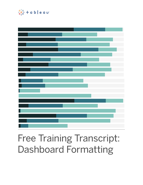

# Free Training Transcript: Dashboard Formatting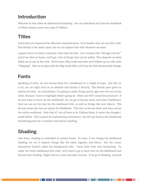#### **Introduction**

Welcome to this video on dashboard formatting. You can download the Exercise workbook to follow along in your own copy of Tableau.

## **Titles**

Good titles are important for effective communication. If we double click, we can edit a title. The default is the sheet name, but we can replace that with whatever we want.

A good trick is to insert a dynamic value into the title. Let's rename this "Average Cost for" and if we click on Insert, we'll get a list of things that can be added. This depends on what fields are in use in the view. We'll insert Ship mode and then we'll follow up our title with "Shipping". Now as we play with the Ship mode filter, we'll see the title dynamically change.

## **Fonts**

Speaking of titles, we can format fonts for a dashboard in a couple of ways. Just like on a viz, we can right click on an element and format it directly. The format pane gives us options for font. As a disclaimer, I'm going to make things pretty ugly over the rest of the video, because I want to highlight what's going on. These are NOT visual best practices! If we just want to focus on the dashboard, we can go to format menu and select Dashboard. Here we can set the font for the dashboard title, as well as things like text objects. The format menu also has an option for Workbook. This lets us format fonts and lines across the entire workbook. Note that if I set all here to be Tableau Book, it resets the changes I made before. This is great for maintaining consistency. But let's go back to the Dashboard formatting pane for a moment and discuss shading.

# **Shading**

Like fonts, shading is controlled at various levels. To start, if we change the dashboard shading, we see it impacts things like the titles, legends, and filters. But the vizzes themselves haven't taken the background color. Views have their own formatting. To make the entire dashboard this color, we'd need to go to each view on the dashboard and format their shading. Right click in a view and select format. If we go to Shading, and pick